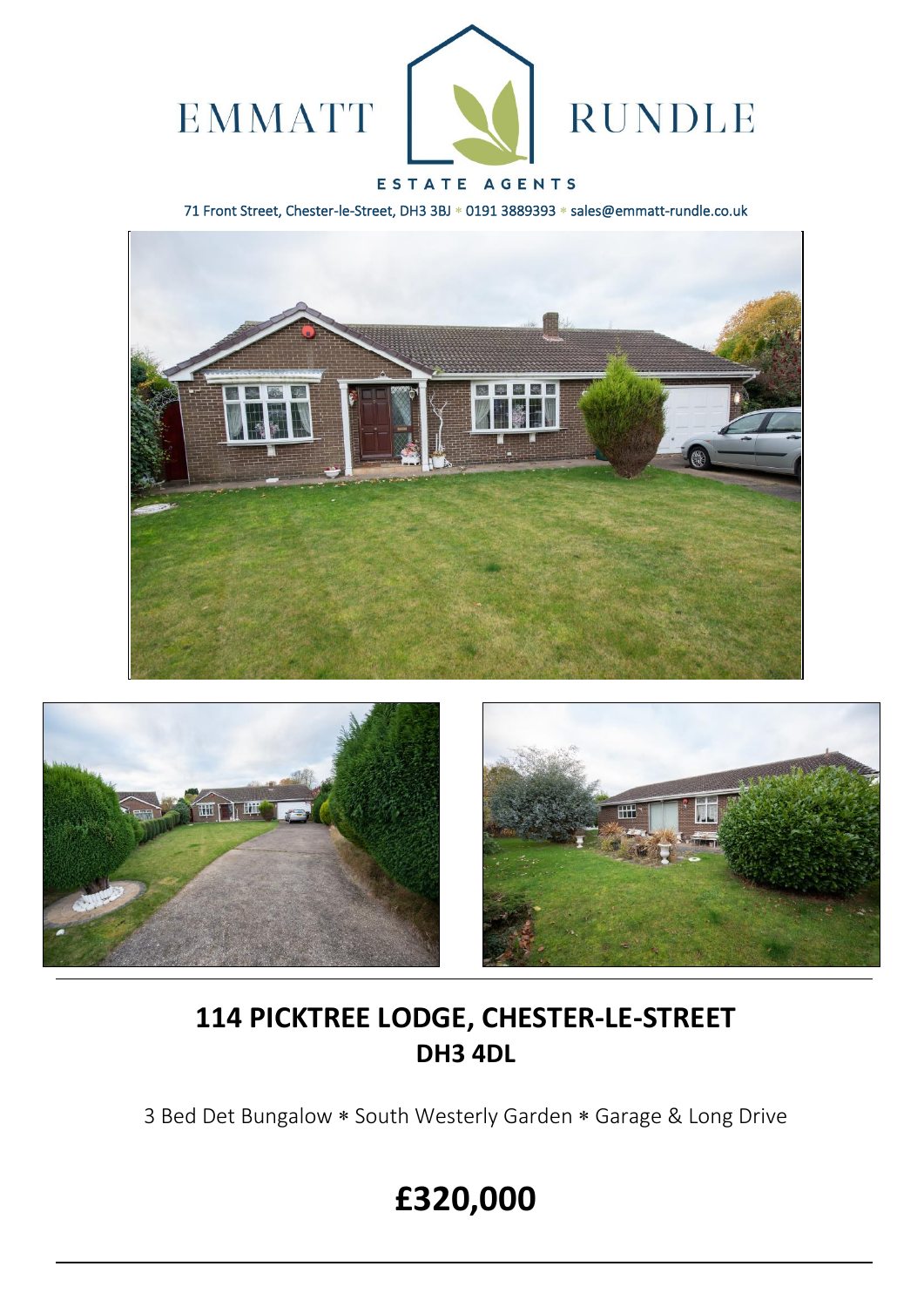

### ESTATE AGENTS

71 Front Street, Chester-le-Street, DH3 3BJ \* 0191 3889393 \* sales@emmatt-rundle.co.uk







## **114 PICKTREE LODGE, CHESTER-LE-STREET DH3 4DL**

3 Bed Det Bungalow \* South Westerly Garden \* Garage & Long Drive

# **£320,000**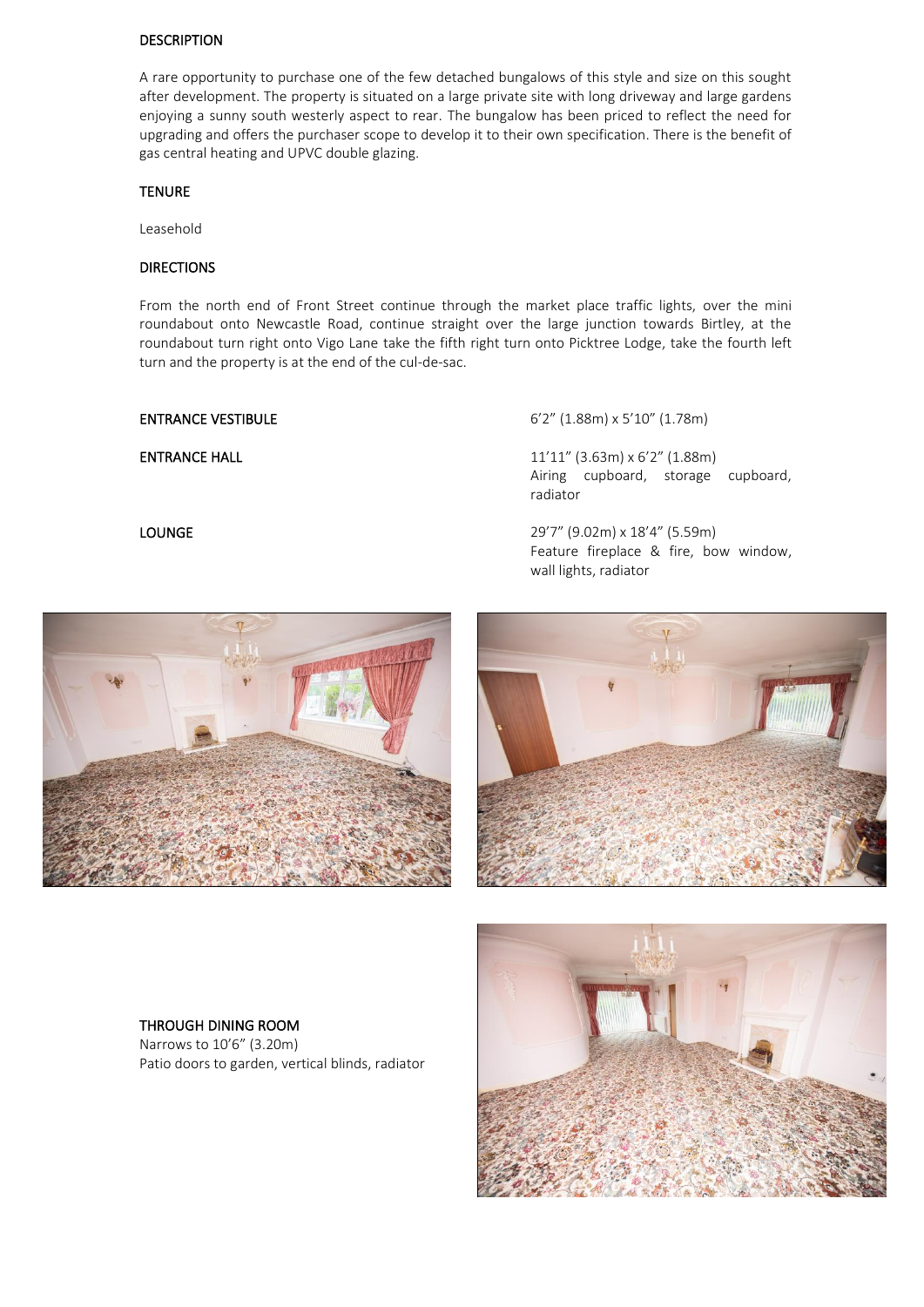### DESCRIPTION

A rare opportunity to purchase one of the few detached bungalows of this style and size on this sought after development. The property is situated on a large private site with long driveway and large gardens enjoying a sunny south westerly aspect to rear. The bungalow has been priced to reflect the need for upgrading and offers the purchaser scope to develop it to their own specification. There is the benefit of gas central heating and UPVC double glazing.

### TENURE

Leasehold

### DIRECTIONS

From the north end of Front Street continue through the market place traffic lights, over the mini roundabout onto Newcastle Road, continue straight over the large junction towards Birtley, at the roundabout turn right onto Vigo Lane take the fifth right turn onto Picktree Lodge, take the fourth left turn and the property is at the end of the cul-de-sac.

ENTRANCE VESTIBULE 6'2" (1.88m) x 5'10" (1.78m)

**ENTRANCE HALL** 11'11" (3.63m) x 6'2" (1.88m) Airing cupboard, storage cupboard, radiator

LOUNGE 29'7" (9.02m) x 18'4" (5.59m) Feature fireplace & fire, bow window, wall lights, radiator





### THROUGH DINING ROOM

Narrows to 10'6" (3.20m) Patio doors to garden, vertical blinds, radiator

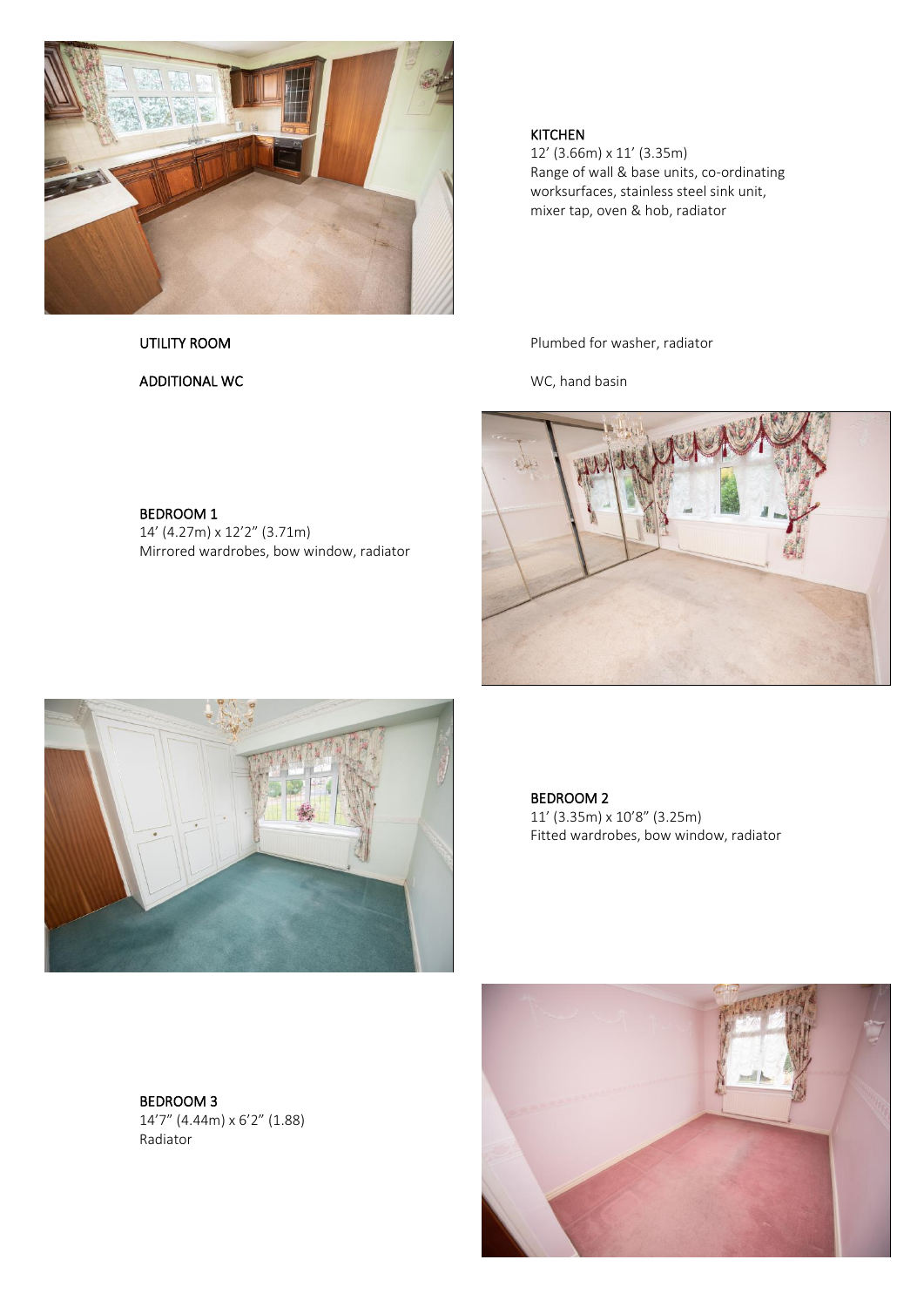

ADDITIONAL WC **WELL ASSESSED AT A REPORT OF A REAL ANDREW WELL A** WC, hand basin

BEDROOM 1

14' (4.27m) x 12'2" (3.71m)

Mirrored wardrobes, bow window, radiator

### KITCHEN

12' (3.66m) x 11' (3.35m) Range of wall & base units, co-ordinating worksurfaces, stainless steel sink unit, mixer tap, oven & hob, radiator

UTILITY ROOM **Plumbed for washer, radiator** 





BEDROOM 2 11' (3.35m) x 10'8" (3.25m) Fitted wardrobes, bow window, radiator

BEDROOM 3 14'7" (4.44m) x 6'2" (1.88) Radiator